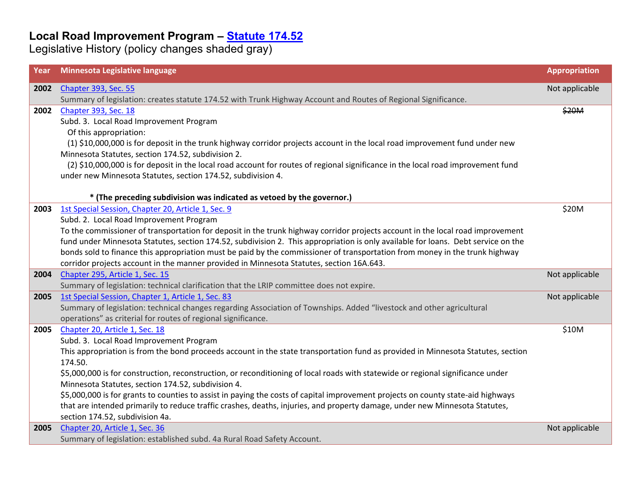| Year | Minnesota Legislative language                                                                                                    | <b>Appropriation</b> |
|------|-----------------------------------------------------------------------------------------------------------------------------------|----------------------|
| 2002 | <b>Chapter 393, Sec. 55</b>                                                                                                       | Not applicable       |
|      | Summary of legislation: creates statute 174.52 with Trunk Highway Account and Routes of Regional Significance.                    |                      |
| 2002 | Chapter 393, Sec. 18                                                                                                              | \$20M                |
|      | Subd. 3. Local Road Improvement Program                                                                                           |                      |
|      | Of this appropriation:                                                                                                            |                      |
|      | (1) \$10,000,000 is for deposit in the trunk highway corridor projects account in the local road improvement fund under new       |                      |
|      | Minnesota Statutes, section 174.52, subdivision 2.                                                                                |                      |
|      | (2) \$10,000,000 is for deposit in the local road account for routes of regional significance in the local road improvement fund  |                      |
|      | under new Minnesota Statutes, section 174.52, subdivision 4.                                                                      |                      |
|      |                                                                                                                                   |                      |
|      | * (The preceding subdivision was indicated as vetoed by the governor.)                                                            |                      |
| 2003 | 1st Special Session, Chapter 20, Article 1, Sec. 9                                                                                | \$20M                |
|      | Subd. 2. Local Road Improvement Program                                                                                           |                      |
|      | To the commissioner of transportation for deposit in the trunk highway corridor projects account in the local road improvement    |                      |
|      | fund under Minnesota Statutes, section 174.52, subdivision 2. This appropriation is only available for loans. Debt service on the |                      |
|      | bonds sold to finance this appropriation must be paid by the commissioner of transportation from money in the trunk highway       |                      |
|      | corridor projects account in the manner provided in Minnesota Statutes, section 16A.643.                                          |                      |
| 2004 | Chapter 295, Article 1, Sec. 15                                                                                                   | Not applicable       |
|      | Summary of legislation: technical clarification that the LRIP committee does not expire.                                          |                      |
| 2005 | 1st Special Session, Chapter 1, Article 1, Sec. 83                                                                                | Not applicable       |
|      | Summary of legislation: technical changes regarding Association of Townships. Added "livestock and other agricultural             |                      |
|      | operations" as criterial for routes of regional significance.                                                                     |                      |
| 2005 | Chapter 20, Article 1, Sec. 18                                                                                                    | \$10M                |
|      | Subd. 3. Local Road Improvement Program                                                                                           |                      |
|      | This appropriation is from the bond proceeds account in the state transportation fund as provided in Minnesota Statutes, section  |                      |
|      | 174.50.                                                                                                                           |                      |
|      | \$5,000,000 is for construction, reconstruction, or reconditioning of local roads with statewide or regional significance under   |                      |
|      | Minnesota Statutes, section 174.52, subdivision 4.                                                                                |                      |
|      | \$5,000,000 is for grants to counties to assist in paying the costs of capital improvement projects on county state-aid highways  |                      |
|      | that are intended primarily to reduce traffic crashes, deaths, injuries, and property damage, under new Minnesota Statutes,       |                      |
|      | section 174.52, subdivision 4a.                                                                                                   |                      |
| 2005 | Chapter 20, Article 1, Sec. 36                                                                                                    | Not applicable       |
|      | Summary of legislation: established subd. 4a Rural Road Safety Account.                                                           |                      |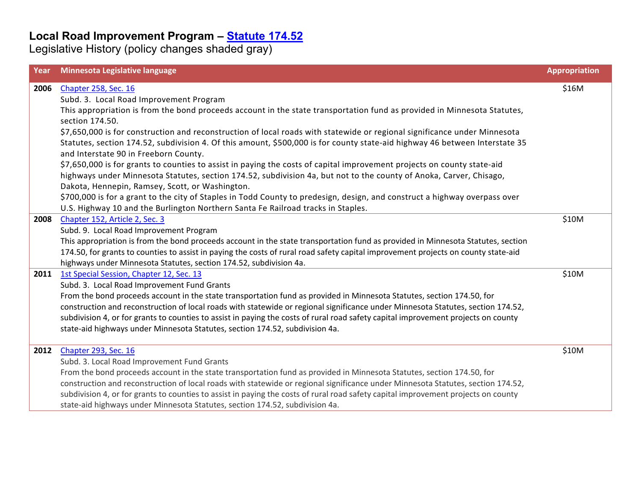| Year | Minnesota Legislative language                                                                                                     | <b>Appropriation</b> |
|------|------------------------------------------------------------------------------------------------------------------------------------|----------------------|
| 2006 | Chapter 258, Sec. 16                                                                                                               | \$16M                |
|      | Subd. 3. Local Road Improvement Program                                                                                            |                      |
|      | This appropriation is from the bond proceeds account in the state transportation fund as provided in Minnesota Statutes,           |                      |
|      | section 174.50.                                                                                                                    |                      |
|      | \$7,650,000 is for construction and reconstruction of local roads with statewide or regional significance under Minnesota          |                      |
|      | Statutes, section 174.52, subdivision 4. Of this amount, \$500,000 is for county state-aid highway 46 between Interstate 35        |                      |
|      | and Interstate 90 in Freeborn County.                                                                                              |                      |
|      | \$7,650,000 is for grants to counties to assist in paying the costs of capital improvement projects on county state-aid            |                      |
|      | highways under Minnesota Statutes, section 174.52, subdivision 4a, but not to the county of Anoka, Carver, Chisago,                |                      |
|      | Dakota, Hennepin, Ramsey, Scott, or Washington.                                                                                    |                      |
|      | \$700,000 is for a grant to the city of Staples in Todd County to predesign, design, and construct a highway overpass over         |                      |
|      | U.S. Highway 10 and the Burlington Northern Santa Fe Railroad tracks in Staples.                                                   |                      |
| 2008 | Chapter 152, Article 2, Sec. 3                                                                                                     | \$10M                |
|      | Subd. 9. Local Road Improvement Program                                                                                            |                      |
|      | This appropriation is from the bond proceeds account in the state transportation fund as provided in Minnesota Statutes, section   |                      |
|      | 174.50, for grants to counties to assist in paying the costs of rural road safety capital improvement projects on county state-aid |                      |
|      | highways under Minnesota Statutes, section 174.52, subdivision 4a.                                                                 |                      |
| 2011 | 1st Special Session, Chapter 12, Sec. 13                                                                                           | \$10M                |
|      | Subd. 3. Local Road Improvement Fund Grants                                                                                        |                      |
|      | From the bond proceeds account in the state transportation fund as provided in Minnesota Statutes, section 174.50, for             |                      |
|      | construction and reconstruction of local roads with statewide or regional significance under Minnesota Statutes, section 174.52,   |                      |
|      | subdivision 4, or for grants to counties to assist in paying the costs of rural road safety capital improvement projects on county |                      |
|      | state-aid highways under Minnesota Statutes, section 174.52, subdivision 4a.                                                       |                      |
| 2012 | <b>Chapter 293, Sec. 16</b>                                                                                                        | \$10M                |
|      | Subd. 3. Local Road Improvement Fund Grants                                                                                        |                      |
|      | From the bond proceeds account in the state transportation fund as provided in Minnesota Statutes, section 174.50, for             |                      |
|      | construction and reconstruction of local roads with statewide or regional significance under Minnesota Statutes, section 174.52,   |                      |
|      | subdivision 4, or for grants to counties to assist in paying the costs of rural road safety capital improvement projects on county |                      |
|      | state-aid highways under Minnesota Statutes, section 174.52, subdivision 4a.                                                       |                      |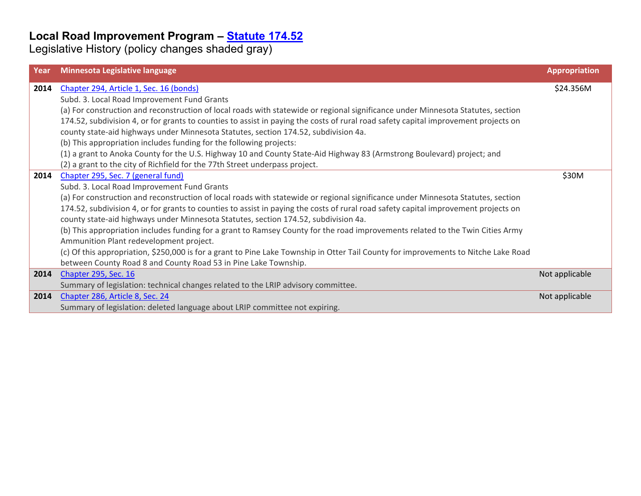| Year | Minnesota Legislative language                                                                                                      | <b>Appropriation</b> |
|------|-------------------------------------------------------------------------------------------------------------------------------------|----------------------|
| 2014 | Chapter 294, Article 1, Sec. 16 (bonds)                                                                                             | \$24.356M            |
|      | Subd. 3. Local Road Improvement Fund Grants                                                                                         |                      |
|      | (a) For construction and reconstruction of local roads with statewide or regional significance under Minnesota Statutes, section    |                      |
|      | 174.52, subdivision 4, or for grants to counties to assist in paying the costs of rural road safety capital improvement projects on |                      |
|      | county state-aid highways under Minnesota Statutes, section 174.52, subdivision 4a.                                                 |                      |
|      | (b) This appropriation includes funding for the following projects:                                                                 |                      |
|      | (1) a grant to Anoka County for the U.S. Highway 10 and County State-Aid Highway 83 (Armstrong Boulevard) project; and              |                      |
|      | (2) a grant to the city of Richfield for the 77th Street underpass project.                                                         |                      |
| 2014 | Chapter 295, Sec. 7 (general fund)                                                                                                  | \$30M                |
|      | Subd. 3. Local Road Improvement Fund Grants                                                                                         |                      |
|      | (a) For construction and reconstruction of local roads with statewide or regional significance under Minnesota Statutes, section    |                      |
|      | 174.52, subdivision 4, or for grants to counties to assist in paying the costs of rural road safety capital improvement projects on |                      |
|      | county state-aid highways under Minnesota Statutes, section 174.52, subdivision 4a.                                                 |                      |
|      | (b) This appropriation includes funding for a grant to Ramsey County for the road improvements related to the Twin Cities Army      |                      |
|      | Ammunition Plant redevelopment project.                                                                                             |                      |
|      | (c) Of this appropriation, \$250,000 is for a grant to Pine Lake Township in Otter Tail County for improvements to Nitche Lake Road |                      |
|      | between County Road 8 and County Road 53 in Pine Lake Township.                                                                     |                      |
| 2014 | <b>Chapter 295, Sec. 16</b>                                                                                                         | Not applicable       |
|      | Summary of legislation: technical changes related to the LRIP advisory committee.                                                   |                      |
| 2014 | Chapter 286, Article 8, Sec. 24                                                                                                     | Not applicable       |
|      | Summary of legislation: deleted language about LRIP committee not expiring.                                                         |                      |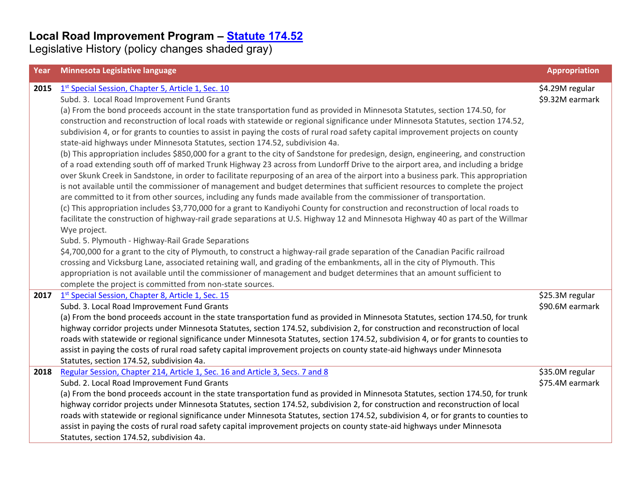| Year | Minnesota Legislative language                                                                                                                                                                                                                                      | <b>Appropriation</b>               |
|------|---------------------------------------------------------------------------------------------------------------------------------------------------------------------------------------------------------------------------------------------------------------------|------------------------------------|
| 2015 | 1st Special Session, Chapter 5, Article 1, Sec. 10                                                                                                                                                                                                                  | \$4.29M regular                    |
|      | Subd. 3. Local Road Improvement Fund Grants                                                                                                                                                                                                                         | \$9.32M earmark                    |
|      | (a) From the bond proceeds account in the state transportation fund as provided in Minnesota Statutes, section 174.50, for                                                                                                                                          |                                    |
|      | construction and reconstruction of local roads with statewide or regional significance under Minnesota Statutes, section 174.52,                                                                                                                                    |                                    |
|      | subdivision 4, or for grants to counties to assist in paying the costs of rural road safety capital improvement projects on county                                                                                                                                  |                                    |
|      | state-aid highways under Minnesota Statutes, section 174.52, subdivision 4a.                                                                                                                                                                                        |                                    |
|      | (b) This appropriation includes \$850,000 for a grant to the city of Sandstone for predesign, design, engineering, and construction                                                                                                                                 |                                    |
|      | of a road extending south off of marked Trunk Highway 23 across from Lundorff Drive to the airport area, and including a bridge                                                                                                                                     |                                    |
|      | over Skunk Creek in Sandstone, in order to facilitate repurposing of an area of the airport into a business park. This appropriation                                                                                                                                |                                    |
|      | is not available until the commissioner of management and budget determines that sufficient resources to complete the project                                                                                                                                       |                                    |
|      | are committed to it from other sources, including any funds made available from the commissioner of transportation.                                                                                                                                                 |                                    |
|      | (c) This appropriation includes \$3,770,000 for a grant to Kandiyohi County for construction and reconstruction of local roads to                                                                                                                                   |                                    |
|      | facilitate the construction of highway-rail grade separations at U.S. Highway 12 and Minnesota Highway 40 as part of the Willmar                                                                                                                                    |                                    |
|      | Wye project.                                                                                                                                                                                                                                                        |                                    |
|      | Subd. 5. Plymouth - Highway-Rail Grade Separations                                                                                                                                                                                                                  |                                    |
|      | \$4,700,000 for a grant to the city of Plymouth, to construct a highway-rail grade separation of the Canadian Pacific railroad                                                                                                                                      |                                    |
|      | crossing and Vicksburg Lane, associated retaining wall, and grading of the embankments, all in the city of Plymouth. This                                                                                                                                           |                                    |
|      | appropriation is not available until the commissioner of management and budget determines that an amount sufficient to                                                                                                                                              |                                    |
|      | complete the project is committed from non-state sources.                                                                                                                                                                                                           |                                    |
| 2017 | 1st Special Session, Chapter 8, Article 1, Sec. 15                                                                                                                                                                                                                  | \$25.3M regular                    |
|      | Subd. 3. Local Road Improvement Fund Grants                                                                                                                                                                                                                         | \$90.6M earmark                    |
|      | (a) From the bond proceeds account in the state transportation fund as provided in Minnesota Statutes, section 174.50, for trunk                                                                                                                                    |                                    |
|      | highway corridor projects under Minnesota Statutes, section 174.52, subdivision 2, for construction and reconstruction of local                                                                                                                                     |                                    |
|      | roads with statewide or regional significance under Minnesota Statutes, section 174.52, subdivision 4, or for grants to counties to                                                                                                                                 |                                    |
|      | assist in paying the costs of rural road safety capital improvement projects on county state-aid highways under Minnesota                                                                                                                                           |                                    |
|      | Statutes, section 174.52, subdivision 4a.                                                                                                                                                                                                                           |                                    |
| 2018 | Regular Session, Chapter 214, Article 1, Sec. 16 and Article 3, Secs. 7 and 8<br>Subd. 2. Local Road Improvement Fund Grants                                                                                                                                        | \$35.0M regular<br>\$75.4M earmark |
|      |                                                                                                                                                                                                                                                                     |                                    |
|      | (a) From the bond proceeds account in the state transportation fund as provided in Minnesota Statutes, section 174.50, for trunk<br>highway corridor projects under Minnesota Statutes, section 174.52, subdivision 2, for construction and reconstruction of local |                                    |
|      | roads with statewide or regional significance under Minnesota Statutes, section 174.52, subdivision 4, or for grants to counties to                                                                                                                                 |                                    |
|      | assist in paying the costs of rural road safety capital improvement projects on county state-aid highways under Minnesota                                                                                                                                           |                                    |
|      | Statutes, section 174.52, subdivision 4a.                                                                                                                                                                                                                           |                                    |
|      |                                                                                                                                                                                                                                                                     |                                    |